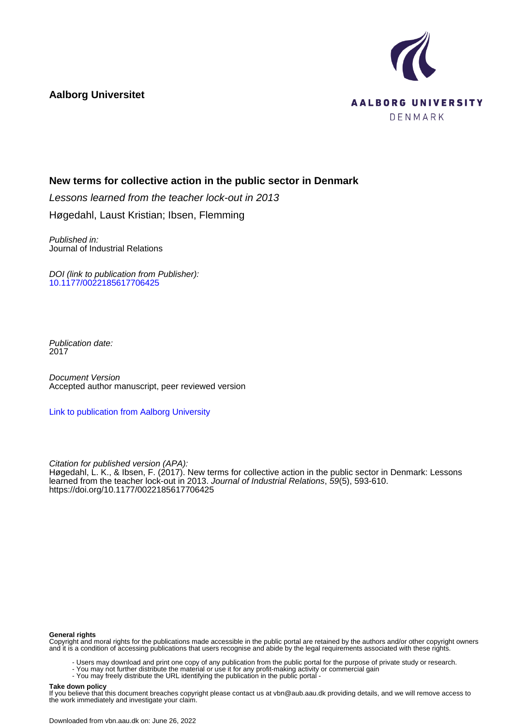# **Aalborg Universitet**



# **New terms for collective action in the public sector in Denmark**

Lessons learned from the teacher lock-out in 2013 Høgedahl, Laust Kristian; Ibsen, Flemming

Published in: Journal of Industrial Relations

DOI (link to publication from Publisher): [10.1177/0022185617706425](https://doi.org/10.1177/0022185617706425)

Publication date: 2017

Document Version Accepted author manuscript, peer reviewed version

[Link to publication from Aalborg University](https://vbn.aau.dk/en/publications/58d2bedf-1e17-43bc-9d4e-0ed3ce09b340)

Citation for published version (APA): Høgedahl, L. K., & Ibsen, F. (2017). New terms for collective action in the public sector in Denmark: Lessons learned from the teacher lock-out in 2013. Journal of Industrial Relations, 59(5), 593-610. <https://doi.org/10.1177/0022185617706425>

#### **General rights**

Copyright and moral rights for the publications made accessible in the public portal are retained by the authors and/or other copyright owners and it is a condition of accessing publications that users recognise and abide by the legal requirements associated with these rights.

- Users may download and print one copy of any publication from the public portal for the purpose of private study or research.
- You may not further distribute the material or use it for any profit-making activity or commercial gain
- You may freely distribute the URL identifying the publication in the public portal -

#### **Take down policy**

If you believe that this document breaches copyright please contact us at vbn@aub.aau.dk providing details, and we will remove access to the work immediately and investigate your claim.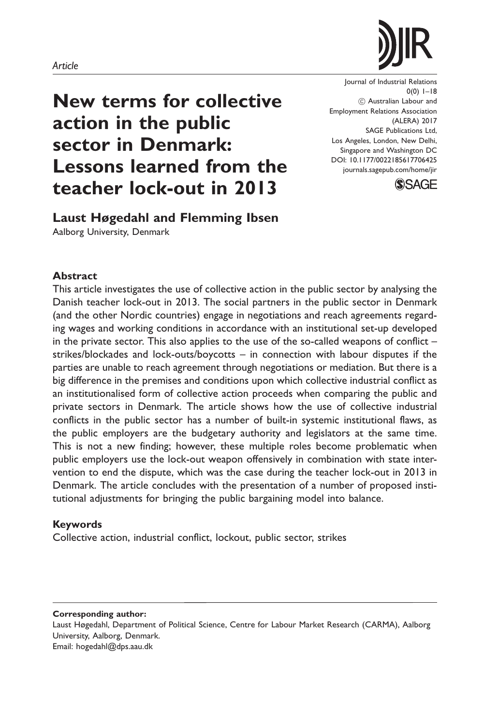## Article



New terms for collective action in the public sector in Denmark: Lessons learned from the teacher lock-out in 2013

Journal of Industrial Relations 0(0) 1–18  $\circled{c}$  Australian Labour and Employment Relations Association (ALERA) 2017 [SAGE Publications Ltd,](https://uk.sagepub.com/en-gb/journals-permissions) [Los Angeles, London, New Delhi,](https://uk.sagepub.com/en-gb/journals-permissions) [Singapore and Washington DC](https://uk.sagepub.com/en-gb/journals-permissions) DOI: [10.1177/0022185617706425](https://doi.org/10.1177/0022185617706425) <journals.sagepub.com/home/jir>



## Laust Høgedahl and Flemming Ibsen

Aalborg University, Denmark

## **Abstract**

This article investigates the use of collective action in the public sector by analysing the Danish teacher lock-out in 2013. The social partners in the public sector in Denmark (and the other Nordic countries) engage in negotiations and reach agreements regarding wages and working conditions in accordance with an institutional set-up developed in the private sector. This also applies to the use of the so-called weapons of conflict  $$ strikes/blockades and lock-outs/boycotts – in connection with labour disputes if the parties are unable to reach agreement through negotiations or mediation. But there is a big difference in the premises and conditions upon which collective industrial conflict as an institutionalised form of collective action proceeds when comparing the public and private sectors in Denmark. The article shows how the use of collective industrial conflicts in the public sector has a number of built-in systemic institutional flaws, as the public employers are the budgetary authority and legislators at the same time. This is not a new finding; however, these multiple roles become problematic when public employers use the lock-out weapon offensively in combination with state intervention to end the dispute, which was the case during the teacher lock-out in 2013 in Denmark. The article concludes with the presentation of a number of proposed institutional adjustments for bringing the public bargaining model into balance.

## Keywords

Collective action, industrial conflict, lockout, public sector, strikes

### Corresponding author:

Laust Høgedahl, Department of Political Science, Centre for Labour Market Research (CARMA), Aalborg University, Aalborg, Denmark. Email: hogedahl@dps.aau.dk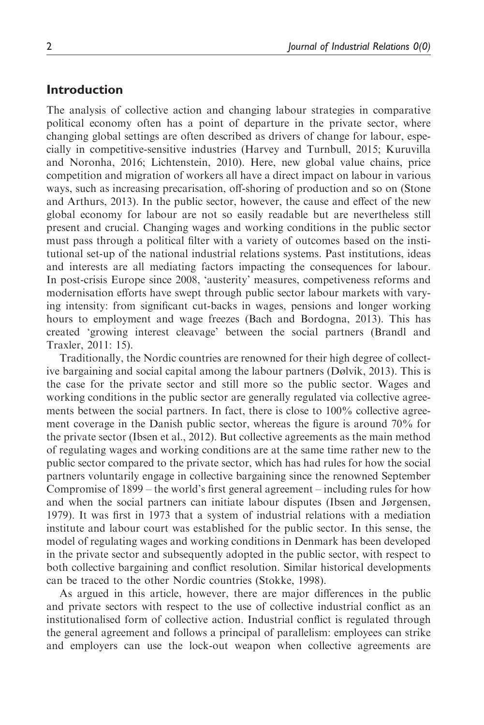## Introduction

The analysis of collective action and changing labour strategies in comparative political economy often has a point of departure in the private sector, where changing global settings are often described as drivers of change for labour, especially in competitive-sensitive industries (Harvey and Turnbull, 2015; Kuruvilla and Noronha, 2016; Lichtenstein, 2010). Here, new global value chains, price competition and migration of workers all have a direct impact on labour in various ways, such as increasing precarisation, off-shoring of production and so on (Stone and Arthurs, 2013). In the public sector, however, the cause and effect of the new global economy for labour are not so easily readable but are nevertheless still present and crucial. Changing wages and working conditions in the public sector must pass through a political filter with a variety of outcomes based on the institutional set-up of the national industrial relations systems. Past institutions, ideas and interests are all mediating factors impacting the consequences for labour. In post-crisis Europe since 2008, 'austerity' measures, competiveness reforms and modernisation efforts have swept through public sector labour markets with varying intensity: from significant cut-backs in wages, pensions and longer working hours to employment and wage freezes (Bach and Bordogna, 2013). This has created 'growing interest cleavage' between the social partners (Brandl and Traxler, 2011: 15).

Traditionally, the Nordic countries are renowned for their high degree of collective bargaining and social capital among the labour partners (Dølvik, 2013). This is the case for the private sector and still more so the public sector. Wages and working conditions in the public sector are generally regulated via collective agreements between the social partners. In fact, there is close to 100% collective agreement coverage in the Danish public sector, whereas the figure is around 70% for the private sector (Ibsen et al., 2012). But collective agreements as the main method of regulating wages and working conditions are at the same time rather new to the public sector compared to the private sector, which has had rules for how the social partners voluntarily engage in collective bargaining since the renowned September Compromise of 1899 – the world's first general agreement – including rules for how and when the social partners can initiate labour disputes (Ibsen and Jørgensen, 1979). It was first in 1973 that a system of industrial relations with a mediation institute and labour court was established for the public sector. In this sense, the model of regulating wages and working conditions in Denmark has been developed in the private sector and subsequently adopted in the public sector, with respect to both collective bargaining and conflict resolution. Similar historical developments can be traced to the other Nordic countries (Stokke, 1998).

As argued in this article, however, there are major differences in the public and private sectors with respect to the use of collective industrial conflict as an institutionalised form of collective action. Industrial conflict is regulated through the general agreement and follows a principal of parallelism: employees can strike and employers can use the lock-out weapon when collective agreements are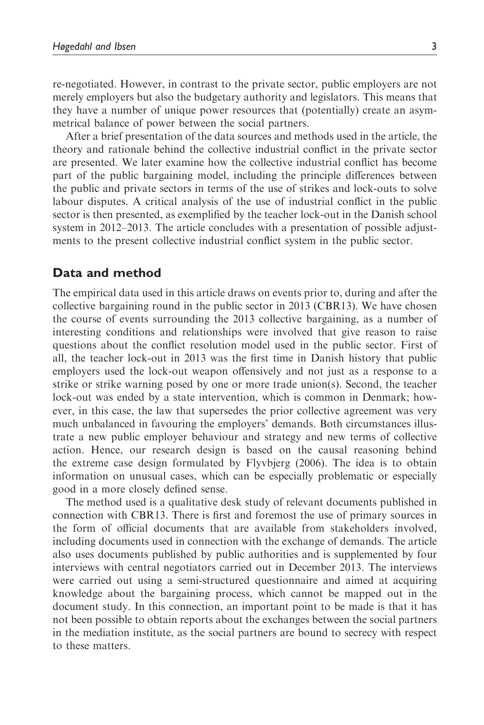re-negotiated. However, in contrast to the private sector, public employers are not merely employers but also the budgetary authority and legislators. This means that they have a number of unique power resources that (potentially) create an asymmetrical balance of power between the social partners.

After a brief presentation of the data sources and methods used in the article, the theory and rationale behind the collective industrial conflict in the private sector are presented. We later examine how the collective industrial conflict has become part of the public bargaining model, including the principle differences between the public and private sectors in terms of the use of strikes and lock-outs to solve labour disputes. A critical analysis of the use of industrial conflict in the public sector is then presented, as exemplified by the teacher lock-out in the Danish school system in 2012–2013. The article concludes with a presentation of possible adjustments to the present collective industrial conflict system in the public sector.

## Data and method

The empirical data used in this article draws on events prior to, during and after the collective bargaining round in the public sector in 2013 (CBR13). We have chosen the course of events surrounding the 2013 collective bargaining, as a number of interesting conditions and relationships were involved that give reason to raise questions about the conflict resolution model used in the public sector. First of all, the teacher lock-out in 2013 was the first time in Danish history that public employers used the lock-out weapon offensively and not just as a response to a strike or strike warning posed by one or more trade union(s). Second, the teacher lock-out was ended by a state intervention, which is common in Denmark; however, in this case, the law that supersedes the prior collective agreement was very much unbalanced in favouring the employers' demands. Both circumstances illustrate a new public employer behaviour and strategy and new terms of collective action. Hence, our research design is based on the causal reasoning behind the extreme case design formulated by Flyvbjerg (2006). The idea is to obtain information on unusual cases, which can be especially problematic or especially good in a more closely defined sense.

The method used is a qualitative desk study of relevant documents published in connection with CBR13. There is first and foremost the use of primary sources in the form of official documents that are available from stakeholders involved, including documents used in connection with the exchange of demands. The article also uses documents published by public authorities and is supplemented by four interviews with central negotiators carried out in December 2013. The interviews were carried out using a semi-structured questionnaire and aimed at acquiring knowledge about the bargaining process, which cannot be mapped out in the document study. In this connection, an important point to be made is that it has not been possible to obtain reports about the exchanges between the social partners in the mediation institute, as the social partners are bound to secrecy with respect to these matters.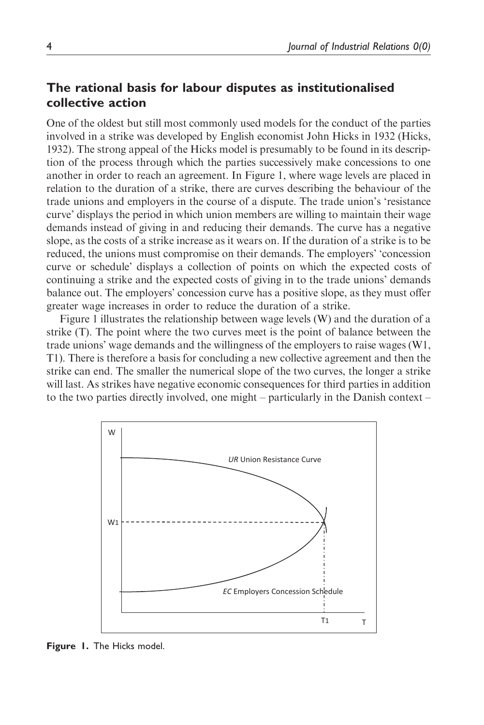# The rational basis for labour disputes as institutionalised collective action

One of the oldest but still most commonly used models for the conduct of the parties involved in a strike was developed by English economist John Hicks in 1932 (Hicks, 1932). The strong appeal of the Hicks model is presumably to be found in its description of the process through which the parties successively make concessions to one another in order to reach an agreement. In Figure 1, where wage levels are placed in relation to the duration of a strike, there are curves describing the behaviour of the trade unions and employers in the course of a dispute. The trade union's 'resistance curve' displays the period in which union members are willing to maintain their wage demands instead of giving in and reducing their demands. The curve has a negative slope, as the costs of a strike increase as it wears on. If the duration of a strike is to be reduced, the unions must compromise on their demands. The employers' 'concession curve or schedule' displays a collection of points on which the expected costs of continuing a strike and the expected costs of giving in to the trade unions' demands balance out. The employers' concession curve has a positive slope, as they must offer greater wage increases in order to reduce the duration of a strike.

Figure 1 illustrates the relationship between wage levels (W) and the duration of a strike (T). The point where the two curves meet is the point of balance between the trade unions' wage demands and the willingness of the employers to raise wages (W1, T1). There is therefore a basis for concluding a new collective agreement and then the strike can end. The smaller the numerical slope of the two curves, the longer a strike will last. As strikes have negative economic consequences for third parties in addition to the two parties directly involved, one might – particularly in the Danish context –



Figure 1. The Hicks model.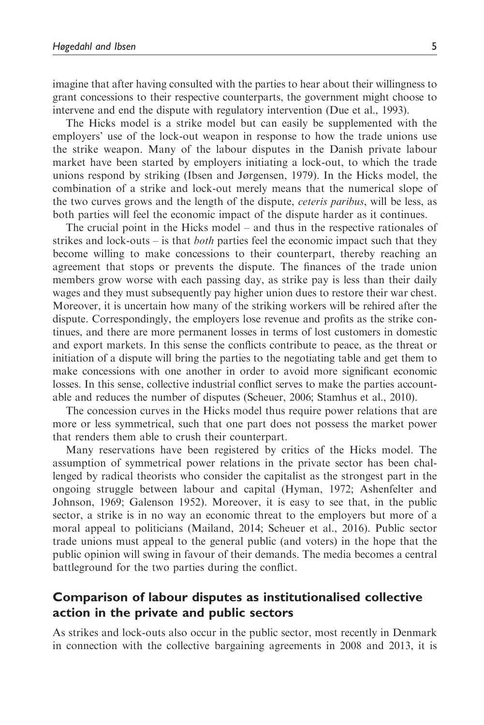imagine that after having consulted with the parties to hear about their willingness to grant concessions to their respective counterparts, the government might choose to intervene and end the dispute with regulatory intervention (Due et al., 1993).

The Hicks model is a strike model but can easily be supplemented with the employers' use of the lock-out weapon in response to how the trade unions use the strike weapon. Many of the labour disputes in the Danish private labour market have been started by employers initiating a lock-out, to which the trade unions respond by striking (Ibsen and Jørgensen, 1979). In the Hicks model, the combination of a strike and lock-out merely means that the numerical slope of the two curves grows and the length of the dispute, ceteris paribus, will be less, as both parties will feel the economic impact of the dispute harder as it continues.

The crucial point in the Hicks model – and thus in the respective rationales of strikes and lock-outs – is that *both* parties feel the economic impact such that they become willing to make concessions to their counterpart, thereby reaching an agreement that stops or prevents the dispute. The finances of the trade union members grow worse with each passing day, as strike pay is less than their daily wages and they must subsequently pay higher union dues to restore their war chest. Moreover, it is uncertain how many of the striking workers will be rehired after the dispute. Correspondingly, the employers lose revenue and profits as the strike continues, and there are more permanent losses in terms of lost customers in domestic and export markets. In this sense the conflicts contribute to peace, as the threat or initiation of a dispute will bring the parties to the negotiating table and get them to make concessions with one another in order to avoid more significant economic losses. In this sense, collective industrial conflict serves to make the parties accountable and reduces the number of disputes (Scheuer, 2006; Stamhus et al., 2010).

The concession curves in the Hicks model thus require power relations that are more or less symmetrical, such that one part does not possess the market power that renders them able to crush their counterpart.

Many reservations have been registered by critics of the Hicks model. The assumption of symmetrical power relations in the private sector has been challenged by radical theorists who consider the capitalist as the strongest part in the ongoing struggle between labour and capital (Hyman, 1972; Ashenfelter and Johnson, 1969; Galenson 1952). Moreover, it is easy to see that, in the public sector, a strike is in no way an economic threat to the employers but more of a moral appeal to politicians (Mailand, 2014; Scheuer et al., 2016). Public sector trade unions must appeal to the general public (and voters) in the hope that the public opinion will swing in favour of their demands. The media becomes a central battleground for the two parties during the conflict.

# Comparison of labour disputes as institutionalised collective action in the private and public sectors

As strikes and lock-outs also occur in the public sector, most recently in Denmark in connection with the collective bargaining agreements in 2008 and 2013, it is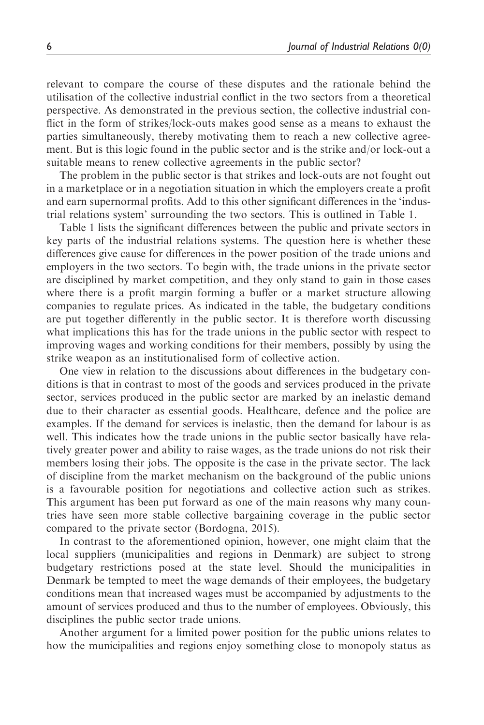relevant to compare the course of these disputes and the rationale behind the utilisation of the collective industrial conflict in the two sectors from a theoretical perspective. As demonstrated in the previous section, the collective industrial conflict in the form of strikes/lock-outs makes good sense as a means to exhaust the parties simultaneously, thereby motivating them to reach a new collective agreement. But is this logic found in the public sector and is the strike and/or lock-out a suitable means to renew collective agreements in the public sector?

The problem in the public sector is that strikes and lock-outs are not fought out in a marketplace or in a negotiation situation in which the employers create a profit and earn supernormal profits. Add to this other significant differences in the 'industrial relations system' surrounding the two sectors. This is outlined in Table 1.

Table 1 lists the significant differences between the public and private sectors in key parts of the industrial relations systems. The question here is whether these differences give cause for differences in the power position of the trade unions and employers in the two sectors. To begin with, the trade unions in the private sector are disciplined by market competition, and they only stand to gain in those cases where there is a profit margin forming a buffer or a market structure allowing companies to regulate prices. As indicated in the table, the budgetary conditions are put together differently in the public sector. It is therefore worth discussing what implications this has for the trade unions in the public sector with respect to improving wages and working conditions for their members, possibly by using the strike weapon as an institutionalised form of collective action.

One view in relation to the discussions about differences in the budgetary conditions is that in contrast to most of the goods and services produced in the private sector, services produced in the public sector are marked by an inelastic demand due to their character as essential goods. Healthcare, defence and the police are examples. If the demand for services is inelastic, then the demand for labour is as well. This indicates how the trade unions in the public sector basically have relatively greater power and ability to raise wages, as the trade unions do not risk their members losing their jobs. The opposite is the case in the private sector. The lack of discipline from the market mechanism on the background of the public unions is a favourable position for negotiations and collective action such as strikes. This argument has been put forward as one of the main reasons why many countries have seen more stable collective bargaining coverage in the public sector compared to the private sector (Bordogna, 2015).

In contrast to the aforementioned opinion, however, one might claim that the local suppliers (municipalities and regions in Denmark) are subject to strong budgetary restrictions posed at the state level. Should the municipalities in Denmark be tempted to meet the wage demands of their employees, the budgetary conditions mean that increased wages must be accompanied by adjustments to the amount of services produced and thus to the number of employees. Obviously, this disciplines the public sector trade unions.

Another argument for a limited power position for the public unions relates to how the municipalities and regions enjoy something close to monopoly status as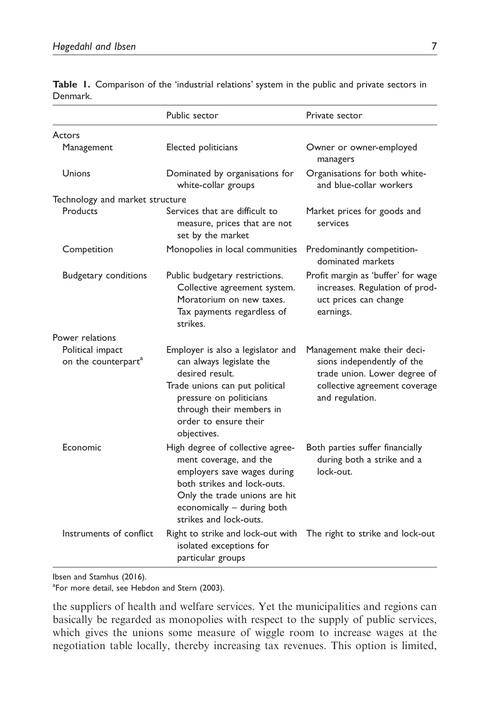|                                                     | Public sector                                                                                                                                                                                                     | Private sector                                                                                                                                |
|-----------------------------------------------------|-------------------------------------------------------------------------------------------------------------------------------------------------------------------------------------------------------------------|-----------------------------------------------------------------------------------------------------------------------------------------------|
| Actors                                              |                                                                                                                                                                                                                   |                                                                                                                                               |
| Management                                          | Elected politicians                                                                                                                                                                                               | Owner or owner-employed<br>managers                                                                                                           |
| Unions                                              | Dominated by organisations for<br>white-collar groups                                                                                                                                                             | Organisations for both white-<br>and blue-collar workers                                                                                      |
| Technology and market structure                     |                                                                                                                                                                                                                   |                                                                                                                                               |
| Products                                            | Services that are difficult to<br>measure, prices that are not<br>set by the market                                                                                                                               | Market prices for goods and<br>services                                                                                                       |
| Competition                                         | Monopolies in local communities                                                                                                                                                                                   | Predominantly competition-<br>dominated markets                                                                                               |
| <b>Budgetary conditions</b>                         | Public budgetary restrictions.<br>Collective agreement system.<br>Moratorium on new taxes.<br>Tax payments regardless of<br>strikes.                                                                              | Profit margin as 'buffer' for wage<br>increases. Regulation of prod-<br>uct prices can change<br>earnings.                                    |
| Power relations                                     |                                                                                                                                                                                                                   |                                                                                                                                               |
| Political impact<br>on the counterpart <sup>a</sup> | Employer is also a legislator and<br>can always legislate the<br>desired result.                                                                                                                                  | Management make their deci-<br>sions independently of the<br>trade union. Lower degree of<br>collective agreement coverage<br>and regulation. |
|                                                     | Trade unions can put political<br>pressure on politicians<br>through their members in<br>order to ensure their<br>objectives.                                                                                     |                                                                                                                                               |
| Economic                                            | High degree of collective agree-<br>ment coverage, and the<br>employers save wages during<br>both strikes and lock-outs.<br>Only the trade unions are hit<br>economically - during both<br>strikes and lock-outs. | Both parties suffer financially<br>during both a strike and a<br>lock-out.                                                                    |
| Instruments of conflict                             | isolated exceptions for<br>particular groups                                                                                                                                                                      | Right to strike and lock-out with  The right to strike and lock-out                                                                           |

Table 1. Comparison of the 'industrial relations' system in the public and private sectors in Denmark.

Ibsen and Stamhus (2016).

<sup>a</sup>For more detail, see Hebdon and Stern (2003).

the suppliers of health and welfare services. Yet the municipalities and regions can basically be regarded as monopolies with respect to the supply of public services, which gives the unions some measure of wiggle room to increase wages at the negotiation table locally, thereby increasing tax revenues. This option is limited,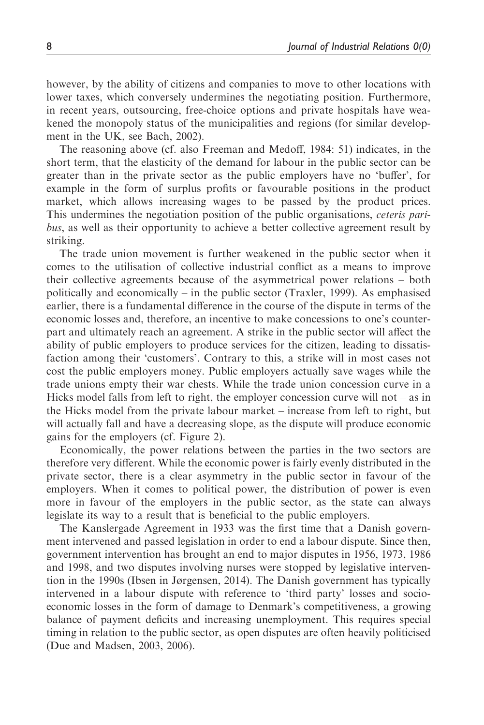however, by the ability of citizens and companies to move to other locations with lower taxes, which conversely undermines the negotiating position. Furthermore, in recent years, outsourcing, free-choice options and private hospitals have weakened the monopoly status of the municipalities and regions (for similar development in the UK, see Bach, 2002).

The reasoning above (cf. also Freeman and Medoff, 1984: 51) indicates, in the short term, that the elasticity of the demand for labour in the public sector can be greater than in the private sector as the public employers have no 'buffer', for example in the form of surplus profits or favourable positions in the product market, which allows increasing wages to be passed by the product prices. This undermines the negotiation position of the public organisations, *ceteris pari*bus, as well as their opportunity to achieve a better collective agreement result by striking.

The trade union movement is further weakened in the public sector when it comes to the utilisation of collective industrial conflict as a means to improve their collective agreements because of the asymmetrical power relations – both politically and economically – in the public sector (Traxler, 1999). As emphasised earlier, there is a fundamental difference in the course of the dispute in terms of the economic losses and, therefore, an incentive to make concessions to one's counterpart and ultimately reach an agreement. A strike in the public sector will affect the ability of public employers to produce services for the citizen, leading to dissatisfaction among their 'customers'. Contrary to this, a strike will in most cases not cost the public employers money. Public employers actually save wages while the trade unions empty their war chests. While the trade union concession curve in a Hicks model falls from left to right, the employer concession curve will not  $-$  as in the Hicks model from the private labour market – increase from left to right, but will actually fall and have a decreasing slope, as the dispute will produce economic gains for the employers (cf. Figure 2).

Economically, the power relations between the parties in the two sectors are therefore very different. While the economic power is fairly evenly distributed in the private sector, there is a clear asymmetry in the public sector in favour of the employers. When it comes to political power, the distribution of power is even more in favour of the employers in the public sector, as the state can always legislate its way to a result that is beneficial to the public employers.

The Kanslergade Agreement in 1933 was the first time that a Danish government intervened and passed legislation in order to end a labour dispute. Since then, government intervention has brought an end to major disputes in 1956, 1973, 1986 and 1998, and two disputes involving nurses were stopped by legislative intervention in the 1990s (Ibsen in Jørgensen, 2014). The Danish government has typically intervened in a labour dispute with reference to 'third party' losses and socioeconomic losses in the form of damage to Denmark's competitiveness, a growing balance of payment deficits and increasing unemployment. This requires special timing in relation to the public sector, as open disputes are often heavily politicised (Due and Madsen, 2003, 2006).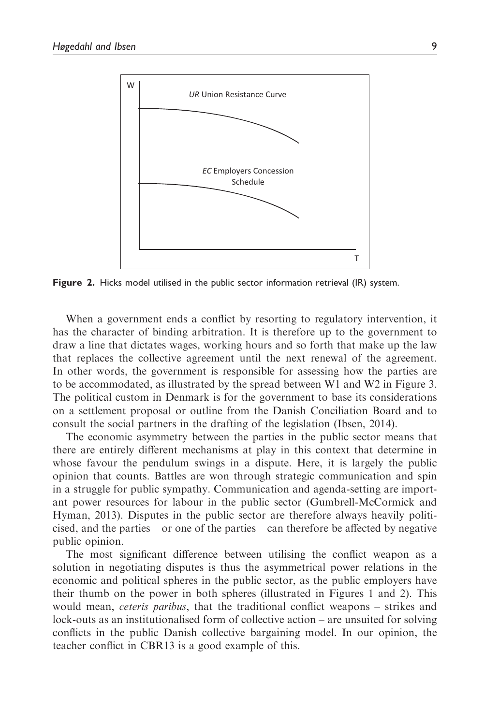

Figure 2. Hicks model utilised in the public sector information retrieval (IR) system.

When a government ends a conflict by resorting to regulatory intervention, it has the character of binding arbitration. It is therefore up to the government to draw a line that dictates wages, working hours and so forth that make up the law that replaces the collective agreement until the next renewal of the agreement. In other words, the government is responsible for assessing how the parties are to be accommodated, as illustrated by the spread between W1 and W2 in Figure 3. The political custom in Denmark is for the government to base its considerations on a settlement proposal or outline from the Danish Conciliation Board and to consult the social partners in the drafting of the legislation (Ibsen, 2014).

The economic asymmetry between the parties in the public sector means that there are entirely different mechanisms at play in this context that determine in whose favour the pendulum swings in a dispute. Here, it is largely the public opinion that counts. Battles are won through strategic communication and spin in a struggle for public sympathy. Communication and agenda-setting are important power resources for labour in the public sector (Gumbrell-McCormick and Hyman, 2013). Disputes in the public sector are therefore always heavily politicised, and the parties – or one of the parties – can therefore be affected by negative public opinion.

The most significant difference between utilising the conflict weapon as a solution in negotiating disputes is thus the asymmetrical power relations in the economic and political spheres in the public sector, as the public employers have their thumb on the power in both spheres (illustrated in Figures 1 and 2). This would mean, ceteris paribus, that the traditional conflict weapons – strikes and lock-outs as an institutionalised form of collective action – are unsuited for solving conflicts in the public Danish collective bargaining model. In our opinion, the teacher conflict in CBR13 is a good example of this.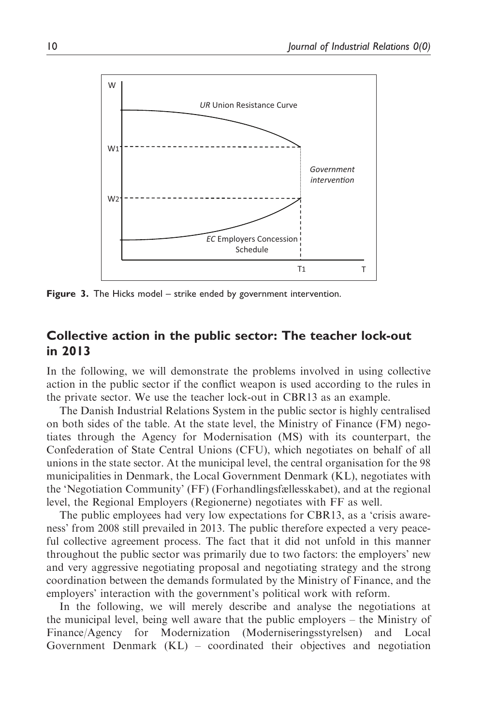

Figure 3. The Hicks model - strike ended by government intervention.

# Collective action in the public sector: The teacher lock-out in 2013

In the following, we will demonstrate the problems involved in using collective action in the public sector if the conflict weapon is used according to the rules in the private sector. We use the teacher lock-out in CBR13 as an example.

The Danish Industrial Relations System in the public sector is highly centralised on both sides of the table. At the state level, the Ministry of Finance (FM) negotiates through the Agency for Modernisation (MS) with its counterpart, the Confederation of State Central Unions (CFU), which negotiates on behalf of all unions in the state sector. At the municipal level, the central organisation for the 98 municipalities in Denmark, the Local Government Denmark (KL), negotiates with the 'Negotiation Community' (FF) (Forhandlingsfællesskabet), and at the regional level, the Regional Employers (Regionerne) negotiates with FF as well.

The public employees had very low expectations for CBR13, as a 'crisis awareness' from 2008 still prevailed in 2013. The public therefore expected a very peaceful collective agreement process. The fact that it did not unfold in this manner throughout the public sector was primarily due to two factors: the employers' new and very aggressive negotiating proposal and negotiating strategy and the strong coordination between the demands formulated by the Ministry of Finance, and the employers' interaction with the government's political work with reform.

In the following, we will merely describe and analyse the negotiations at the municipal level, being well aware that the public employers – the Ministry of Finance/Agency for Modernization (Moderniseringsstyrelsen) and Local Government Denmark (KL) – coordinated their objectives and negotiation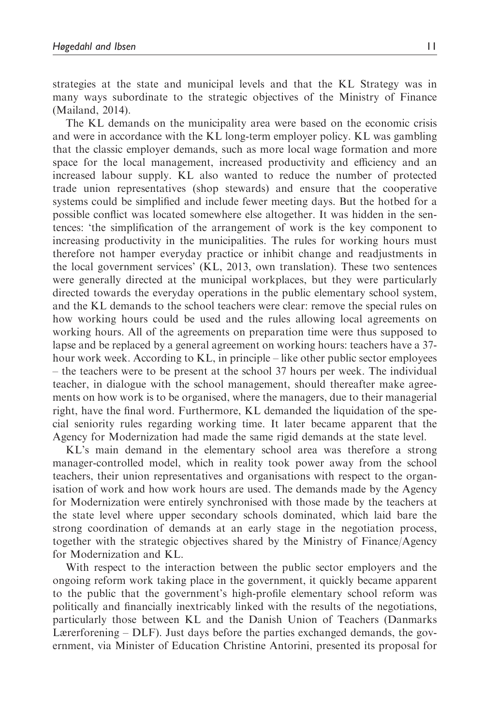strategies at the state and municipal levels and that the KL Strategy was in many ways subordinate to the strategic objectives of the Ministry of Finance (Mailand, 2014).

The KL demands on the municipality area were based on the economic crisis and were in accordance with the KL long-term employer policy. KL was gambling that the classic employer demands, such as more local wage formation and more space for the local management, increased productivity and efficiency and an increased labour supply. KL also wanted to reduce the number of protected trade union representatives (shop stewards) and ensure that the cooperative systems could be simplified and include fewer meeting days. But the hotbed for a possible conflict was located somewhere else altogether. It was hidden in the sentences: 'the simplification of the arrangement of work is the key component to increasing productivity in the municipalities. The rules for working hours must therefore not hamper everyday practice or inhibit change and readjustments in the local government services' (KL, 2013, own translation). These two sentences were generally directed at the municipal workplaces, but they were particularly directed towards the everyday operations in the public elementary school system, and the KL demands to the school teachers were clear: remove the special rules on how working hours could be used and the rules allowing local agreements on working hours. All of the agreements on preparation time were thus supposed to lapse and be replaced by a general agreement on working hours: teachers have a 37 hour work week. According to KL, in principle – like other public sector employees – the teachers were to be present at the school 37 hours per week. The individual teacher, in dialogue with the school management, should thereafter make agreements on how work is to be organised, where the managers, due to their managerial right, have the final word. Furthermore, KL demanded the liquidation of the special seniority rules regarding working time. It later became apparent that the Agency for Modernization had made the same rigid demands at the state level.

KL's main demand in the elementary school area was therefore a strong manager-controlled model, which in reality took power away from the school teachers, their union representatives and organisations with respect to the organisation of work and how work hours are used. The demands made by the Agency for Modernization were entirely synchronised with those made by the teachers at the state level where upper secondary schools dominated, which laid bare the strong coordination of demands at an early stage in the negotiation process, together with the strategic objectives shared by the Ministry of Finance/Agency for Modernization and KL.

With respect to the interaction between the public sector employers and the ongoing reform work taking place in the government, it quickly became apparent to the public that the government's high-profile elementary school reform was politically and financially inextricably linked with the results of the negotiations, particularly those between KL and the Danish Union of Teachers (Danmarks Lærerforening – DLF). Just days before the parties exchanged demands, the government, via Minister of Education Christine Antorini, presented its proposal for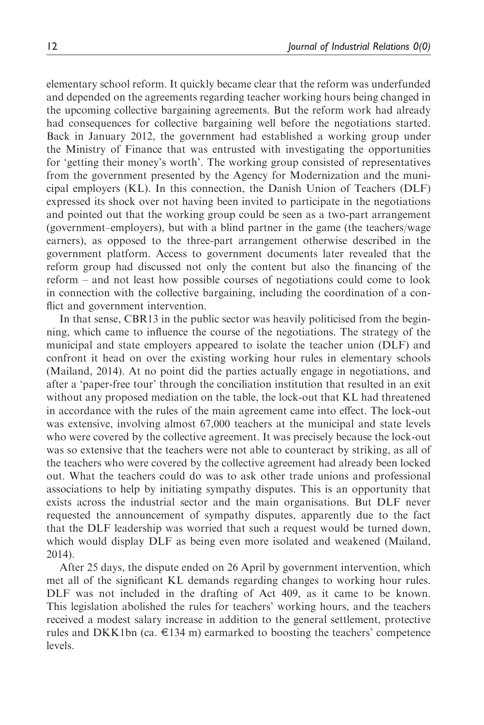elementary school reform. It quickly became clear that the reform was underfunded and depended on the agreements regarding teacher working hours being changed in the upcoming collective bargaining agreements. But the reform work had already had consequences for collective bargaining well before the negotiations started. Back in January 2012, the government had established a working group under the Ministry of Finance that was entrusted with investigating the opportunities for 'getting their money's worth'. The working group consisted of representatives from the government presented by the Agency for Modernization and the municipal employers (KL). In this connection, the Danish Union of Teachers (DLF) expressed its shock over not having been invited to participate in the negotiations and pointed out that the working group could be seen as a two-part arrangement (government–employers), but with a blind partner in the game (the teachers/wage earners), as opposed to the three-part arrangement otherwise described in the government platform. Access to government documents later revealed that the reform group had discussed not only the content but also the financing of the reform – and not least how possible courses of negotiations could come to look in connection with the collective bargaining, including the coordination of a conflict and government intervention.

In that sense, CBR13 in the public sector was heavily politicised from the beginning, which came to influence the course of the negotiations. The strategy of the municipal and state employers appeared to isolate the teacher union (DLF) and confront it head on over the existing working hour rules in elementary schools (Mailand, 2014). At no point did the parties actually engage in negotiations, and after a 'paper-free tour' through the conciliation institution that resulted in an exit without any proposed mediation on the table, the lock-out that KL had threatened in accordance with the rules of the main agreement came into effect. The lock-out was extensive, involving almost 67,000 teachers at the municipal and state levels who were covered by the collective agreement. It was precisely because the lock-out was so extensive that the teachers were not able to counteract by striking, as all of the teachers who were covered by the collective agreement had already been locked out. What the teachers could do was to ask other trade unions and professional associations to help by initiating sympathy disputes. This is an opportunity that exists across the industrial sector and the main organisations. But DLF never requested the announcement of sympathy disputes, apparently due to the fact that the DLF leadership was worried that such a request would be turned down, which would display DLF as being even more isolated and weakened (Mailand, 2014).

After 25 days, the dispute ended on 26 April by government intervention, which met all of the significant KL demands regarding changes to working hour rules. DLF was not included in the drafting of Act 409, as it came to be known. This legislation abolished the rules for teachers' working hours, and the teachers received a modest salary increase in addition to the general settlement, protective rules and DKK1bn (ca.  $\in$ 134 m) earmarked to boosting the teachers' competence levels.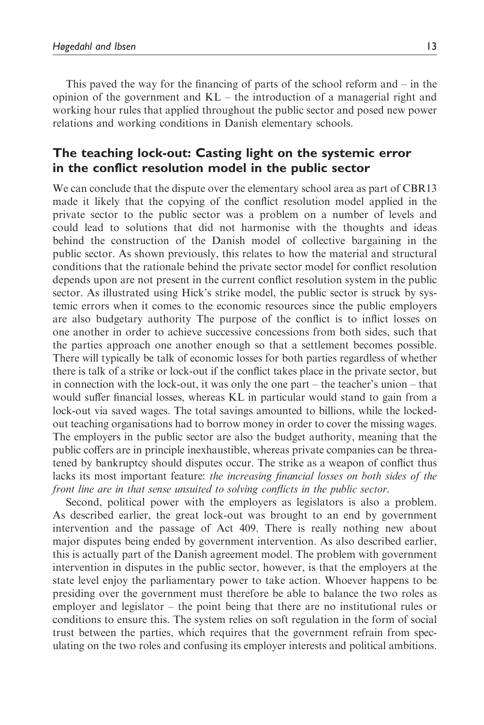This paved the way for the financing of parts of the school reform and  $-$  in the opinion of the government and  $KL$  – the introduction of a managerial right and working hour rules that applied throughout the public sector and posed new power relations and working conditions in Danish elementary schools.

# The teaching lock-out: Casting light on the systemic error in the conflict resolution model in the public sector

We can conclude that the dispute over the elementary school area as part of CBR13 made it likely that the copying of the conflict resolution model applied in the private sector to the public sector was a problem on a number of levels and could lead to solutions that did not harmonise with the thoughts and ideas behind the construction of the Danish model of collective bargaining in the public sector. As shown previously, this relates to how the material and structural conditions that the rationale behind the private sector model for conflict resolution depends upon are not present in the current conflict resolution system in the public sector. As illustrated using Hick's strike model, the public sector is struck by systemic errors when it comes to the economic resources since the public employers are also budgetary authority The purpose of the conflict is to inflict losses on one another in order to achieve successive concessions from both sides, such that the parties approach one another enough so that a settlement becomes possible. There will typically be talk of economic losses for both parties regardless of whether there is talk of a strike or lock-out if the conflict takes place in the private sector, but in connection with the lock-out, it was only the one part – the teacher's union – that would suffer financial losses, whereas KL in particular would stand to gain from a lock-out via saved wages. The total savings amounted to billions, while the lockedout teaching organisations had to borrow money in order to cover the missing wages. The employers in the public sector are also the budget authority, meaning that the public coffers are in principle inexhaustible, whereas private companies can be threatened by bankruptcy should disputes occur. The strike as a weapon of conflict thus lacks its most important feature: the increasing financial losses on both sides of the front line are in that sense unsuited to solving conflicts in the public sector.

Second, political power with the employers as legislators is also a problem. As described earlier, the great lock-out was brought to an end by government intervention and the passage of Act 409. There is really nothing new about major disputes being ended by government intervention. As also described earlier, this is actually part of the Danish agreement model. The problem with government intervention in disputes in the public sector, however, is that the employers at the state level enjoy the parliamentary power to take action. Whoever happens to be presiding over the government must therefore be able to balance the two roles as employer and legislator – the point being that there are no institutional rules or conditions to ensure this. The system relies on soft regulation in the form of social trust between the parties, which requires that the government refrain from speculating on the two roles and confusing its employer interests and political ambitions.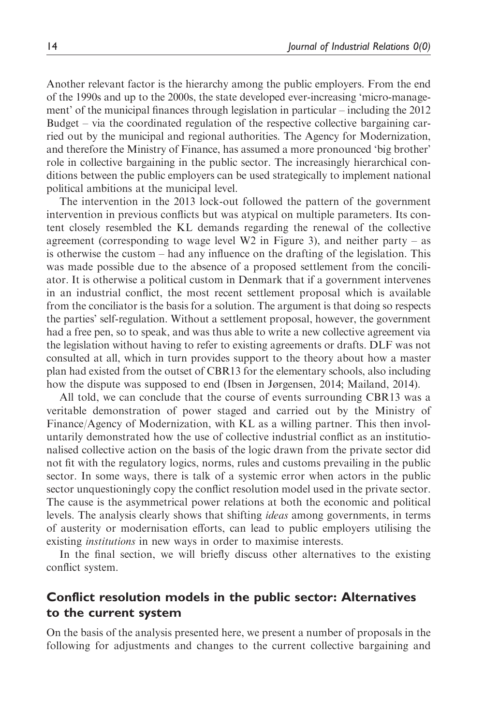Another relevant factor is the hierarchy among the public employers. From the end of the 1990s and up to the 2000s, the state developed ever-increasing 'micro-management' of the municipal finances through legislation in particular – including the 2012 Budget – via the coordinated regulation of the respective collective bargaining carried out by the municipal and regional authorities. The Agency for Modernization, and therefore the Ministry of Finance, has assumed a more pronounced 'big brother' role in collective bargaining in the public sector. The increasingly hierarchical conditions between the public employers can be used strategically to implement national political ambitions at the municipal level.

The intervention in the 2013 lock-out followed the pattern of the government intervention in previous conflicts but was atypical on multiple parameters. Its content closely resembled the KL demands regarding the renewal of the collective agreement (corresponding to wage level  $W<sub>2</sub>$  in Figure 3), and neither party – as is otherwise the custom – had any influence on the drafting of the legislation. This was made possible due to the absence of a proposed settlement from the conciliator. It is otherwise a political custom in Denmark that if a government intervenes in an industrial conflict, the most recent settlement proposal which is available from the conciliator is the basis for a solution. The argument is that doing so respects the parties' self-regulation. Without a settlement proposal, however, the government had a free pen, so to speak, and was thus able to write a new collective agreement via the legislation without having to refer to existing agreements or drafts. DLF was not consulted at all, which in turn provides support to the theory about how a master plan had existed from the outset of CBR13 for the elementary schools, also including how the dispute was supposed to end (Ibsen in Jørgensen, 2014; Mailand, 2014).

All told, we can conclude that the course of events surrounding CBR13 was a veritable demonstration of power staged and carried out by the Ministry of Finance/Agency of Modernization, with KL as a willing partner. This then involuntarily demonstrated how the use of collective industrial conflict as an institutionalised collective action on the basis of the logic drawn from the private sector did not fit with the regulatory logics, norms, rules and customs prevailing in the public sector. In some ways, there is talk of a systemic error when actors in the public sector unquestioningly copy the conflict resolution model used in the private sector. The cause is the asymmetrical power relations at both the economic and political levels. The analysis clearly shows that shifting *ideas* among governments, in terms of austerity or modernisation efforts, can lead to public employers utilising the existing *institutions* in new ways in order to maximise interests.

In the final section, we will briefly discuss other alternatives to the existing conflict system.

# Conflict resolution models in the public sector: Alternatives to the current system

On the basis of the analysis presented here, we present a number of proposals in the following for adjustments and changes to the current collective bargaining and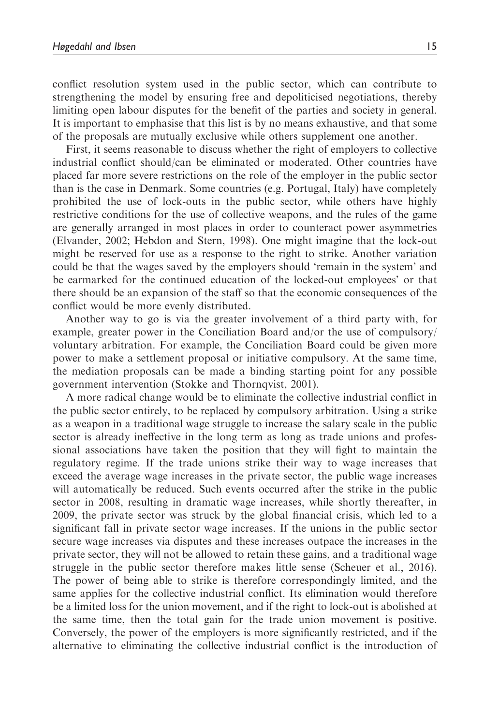conflict resolution system used in the public sector, which can contribute to strengthening the model by ensuring free and depoliticised negotiations, thereby limiting open labour disputes for the benefit of the parties and society in general. It is important to emphasise that this list is by no means exhaustive, and that some of the proposals are mutually exclusive while others supplement one another.

First, it seems reasonable to discuss whether the right of employers to collective industrial conflict should/can be eliminated or moderated. Other countries have placed far more severe restrictions on the role of the employer in the public sector than is the case in Denmark. Some countries (e.g. Portugal, Italy) have completely prohibited the use of lock-outs in the public sector, while others have highly restrictive conditions for the use of collective weapons, and the rules of the game are generally arranged in most places in order to counteract power asymmetries (Elvander, 2002; Hebdon and Stern, 1998). One might imagine that the lock-out might be reserved for use as a response to the right to strike. Another variation could be that the wages saved by the employers should 'remain in the system' and be earmarked for the continued education of the locked-out employees' or that there should be an expansion of the staff so that the economic consequences of the conflict would be more evenly distributed.

Another way to go is via the greater involvement of a third party with, for example, greater power in the Conciliation Board and/or the use of compulsory/ voluntary arbitration. For example, the Conciliation Board could be given more power to make a settlement proposal or initiative compulsory. At the same time, the mediation proposals can be made a binding starting point for any possible government intervention (Stokke and Thornqvist, 2001).

A more radical change would be to eliminate the collective industrial conflict in the public sector entirely, to be replaced by compulsory arbitration. Using a strike as a weapon in a traditional wage struggle to increase the salary scale in the public sector is already ineffective in the long term as long as trade unions and professional associations have taken the position that they will fight to maintain the regulatory regime. If the trade unions strike their way to wage increases that exceed the average wage increases in the private sector, the public wage increases will automatically be reduced. Such events occurred after the strike in the public sector in 2008, resulting in dramatic wage increases, while shortly thereafter, in 2009, the private sector was struck by the global financial crisis, which led to a significant fall in private sector wage increases. If the unions in the public sector secure wage increases via disputes and these increases outpace the increases in the private sector, they will not be allowed to retain these gains, and a traditional wage struggle in the public sector therefore makes little sense (Scheuer et al., 2016). The power of being able to strike is therefore correspondingly limited, and the same applies for the collective industrial conflict. Its elimination would therefore be a limited loss for the union movement, and if the right to lock-out is abolished at the same time, then the total gain for the trade union movement is positive. Conversely, the power of the employers is more significantly restricted, and if the alternative to eliminating the collective industrial conflict is the introduction of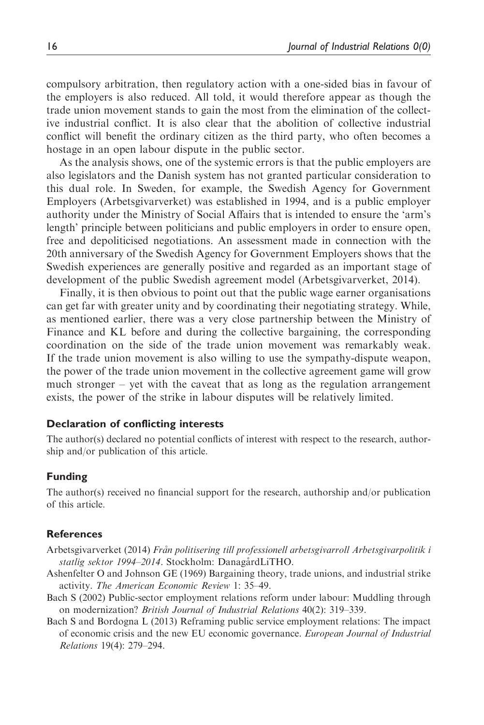compulsory arbitration, then regulatory action with a one-sided bias in favour of the employers is also reduced. All told, it would therefore appear as though the trade union movement stands to gain the most from the elimination of the collective industrial conflict. It is also clear that the abolition of collective industrial conflict will benefit the ordinary citizen as the third party, who often becomes a hostage in an open labour dispute in the public sector.

As the analysis shows, one of the systemic errors is that the public employers are also legislators and the Danish system has not granted particular consideration to this dual role. In Sweden, for example, the Swedish Agency for Government Employers (Arbetsgivarverket) was established in 1994, and is a public employer authority under the Ministry of Social Affairs that is intended to ensure the 'arm's length' principle between politicians and public employers in order to ensure open, free and depoliticised negotiations. An assessment made in connection with the 20th anniversary of the Swedish Agency for Government Employers shows that the Swedish experiences are generally positive and regarded as an important stage of development of the public Swedish agreement model (Arbetsgivarverket, 2014).

Finally, it is then obvious to point out that the public wage earner organisations can get far with greater unity and by coordinating their negotiating strategy. While, as mentioned earlier, there was a very close partnership between the Ministry of Finance and KL before and during the collective bargaining, the corresponding coordination on the side of the trade union movement was remarkably weak. If the trade union movement is also willing to use the sympathy-dispute weapon, the power of the trade union movement in the collective agreement game will grow much stronger – yet with the caveat that as long as the regulation arrangement exists, the power of the strike in labour disputes will be relatively limited.

### Declaration of conflicting interests

The author(s) declared no potential conflicts of interest with respect to the research, authorship and/or publication of this article.

### Funding

The author(s) received no financial support for the research, authorship and/or publication of this article.

### **References**

Arbetsgivarverket (2014) Från politisering till professionell arbetsgivarroll Arbetsgivarpolitik i statlig sektor 1994–2014. Stockholm: DanagårdLiTHO.

- Ashenfelter O and Johnson GE (1969) Bargaining theory, trade unions, and industrial strike activity. The American Economic Review 1: 35–49.
- Bach S (2002) Public-sector employment relations reform under labour: Muddling through on modernization? British Journal of Industrial Relations 40(2): 319–339.
- Bach S and Bordogna L (2013) Reframing public service employment relations: The impact of economic crisis and the new EU economic governance. European Journal of Industrial Relations 19(4): 279–294.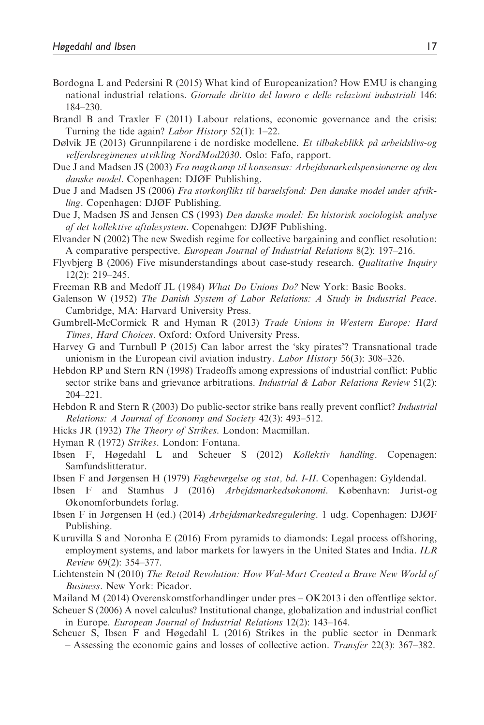- Bordogna L and Pedersini R (2015) What kind of Europeanization? How EMU is changing national industrial relations. Giornale diritto del lavoro e delle relazioni industriali 146: 184–230.
- Brandl B and Traxler F (2011) Labour relations, economic governance and the crisis: Turning the tide again? *Labor History* 52(1): 1–22.
- Dølvik JE (2013) Grunnpilarene i de nordiske modellene. Et tilbakeblikk på arbeidslivs-og velferdsregimenes utvikling NordMod2030. Oslo: Fafo, rapport.
- Due J and Madsen JS (2003) Fra magtkamp til konsensus: Arbejdsmarkedspensionerne og den danske model. Copenhagen: DJØF Publishing.
- Due J and Madsen JS (2006) Fra storkonflikt til barselsfond: Den danske model under afvikling. Copenhagen: DJØF Publishing.
- Due J, Madsen JS and Jensen CS (1993) Den danske model: En historisk sociologisk analyse af det kollektive aftalesystem. Copenahgen: DJØF Publishing.
- Elvander N (2002) The new Swedish regime for collective bargaining and conflict resolution: A comparative perspective. European Journal of Industrial Relations 8(2): 197–216.
- Flyvbjerg B (2006) Five misunderstandings about case-study research. Qualitative Inquiry 12(2): 219–245.
- Freeman RB and Medoff JL (1984) What Do Unions Do? New York: Basic Books.
- Galenson W (1952) The Danish System of Labor Relations: A Study in Industrial Peace. Cambridge, MA: Harvard University Press.
- Gumbrell-McCormick R and Hyman R (2013) Trade Unions in Western Europe: Hard Times, Hard Choices. Oxford: Oxford University Press.
- Harvey G and Turnbull P (2015) Can labor arrest the 'sky pirates'? Transnational trade unionism in the European civil aviation industry. Labor History 56(3): 308–326.
- Hebdon RP and Stern RN (1998) Tradeoffs among expressions of industrial conflict: Public sector strike bans and grievance arbitrations. *Industrial & Labor Relations Review* 51(2): 204–221.
- Hebdon R and Stern R (2003) Do public-sector strike bans really prevent conflict? *Industrial* Relations: A Journal of Economy and Society 42(3): 493–512.
- Hicks JR (1932) The Theory of Strikes. London: Macmillan.
- Hyman R (1972) Strikes. London: Fontana.
- Ibsen F, Høgedahl L and Scheuer S (2012) Kollektiv handling. Copenagen: Samfundslitteratur.
- Ibsen F and Jørgensen H (1979) Fagbevægelse og stat, bd. I-II. Copenhagen: Gyldendal.
- Ibsen F and Stamhus J (2016) Arbejdsmarkedsøkonomi. København: Jurist-og Økonomforbundets forlag.
- Ibsen F in Jørgensen H (ed.) (2014) Arbejdsmarkedsregulering. 1 udg. Copenhagen: DJØF Publishing.
- Kuruvilla S and Noronha E (2016) From pyramids to diamonds: Legal process offshoring, employment systems, and labor markets for lawyers in the United States and India. ILR Review 69(2): 354–377.
- Lichtenstein N (2010) The Retail Revolution: How Wal-Mart Created a Brave New World of Business. New York: Picador.
- Mailand M (2014) Overenskomstforhandlinger under pres OK2013 i den offentlige sektor.
- Scheuer S (2006) A novel calculus? Institutional change, globalization and industrial conflict in Europe. European Journal of Industrial Relations 12(2): 143-164.
- Scheuer S, Ibsen F and Høgedahl L (2016) Strikes in the public sector in Denmark – Assessing the economic gains and losses of collective action. Transfer 22(3): 367–382.